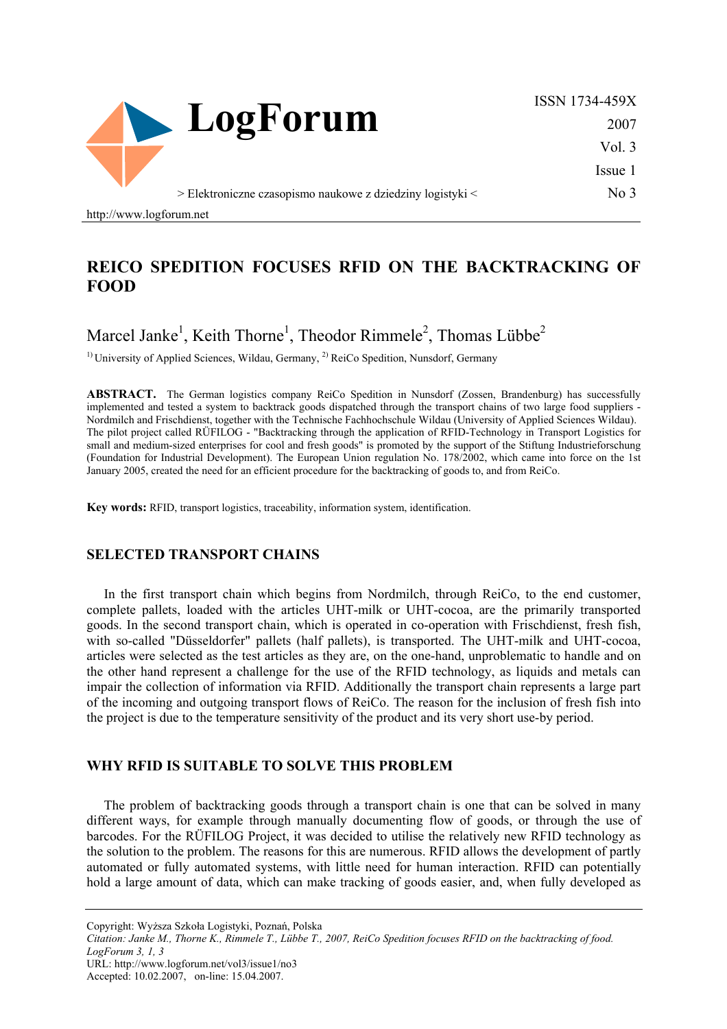

ISSN 1734-459X 2007 Vol. 3 Issue 1 No 3

http://www.logforum.net

## **REICO SPEDITION FOCUSES RFID ON THE BACKTRACKING OF FOOD**

# Marcel Janke<sup>1</sup>, Keith Thorne<sup>1</sup>, Theodor Rimmele<sup>2</sup>, Thomas Lübbe<sup>2</sup>

<sup>1)</sup> University of Applied Sciences, Wildau, Germany, <sup>2)</sup> ReiCo Spedition, Nunsdorf, Germany

**ABSTRACT.** The German logistics company ReiCo Spedition in Nunsdorf (Zossen, Brandenburg) has successfully implemented and tested a system to backtrack goods dispatched through the transport chains of two large food suppliers - Nordmilch and Frischdienst, together with the Technische Fachhochschule Wildau (University of Applied Sciences Wildau). The pilot project called RÜFILOG - "Backtracking through the application of RFID-Technology in Transport Logistics for small and medium-sized enterprises for cool and fresh goods" is promoted by the support of the Stiftung Industrieforschung (Foundation for Industrial Development). The European Union regulation No. 178/2002, which came into force on the 1st January 2005, created the need for an efficient procedure for the backtracking of goods to, and from ReiCo.

**Key words:** RFID, transport logistics, traceability, information system, identification.

### **SELECTED TRANSPORT CHAINS**

In the first transport chain which begins from Nordmilch, through ReiCo, to the end customer, complete pallets, loaded with the articles UHT-milk or UHT-cocoa, are the primarily transported goods. In the second transport chain, which is operated in co-operation with Frischdienst, fresh fish, with so-called "Düsseldorfer" pallets (half pallets), is transported. The UHT-milk and UHT-cocoa, articles were selected as the test articles as they are, on the one-hand, unproblematic to handle and on the other hand represent a challenge for the use of the RFID technology, as liquids and metals can impair the collection of information via RFID. Additionally the transport chain represents a large part of the incoming and outgoing transport flows of ReiCo. The reason for the inclusion of fresh fish into the project is due to the temperature sensitivity of the product and its very short use-by period.

#### **WHY RFID IS SUITABLE TO SOLVE THIS PROBLEM**

The problem of backtracking goods through a transport chain is one that can be solved in many different ways, for example through manually documenting flow of goods, or through the use of barcodes. For the RÜFILOG Project, it was decided to utilise the relatively new RFID technology as the solution to the problem. The reasons for this are numerous. RFID allows the development of partly automated or fully automated systems, with little need for human interaction. RFID can potentially hold a large amount of data, which can make tracking of goods easier, and, when fully developed as

Copyright: Wyższa Szkoła Logistyki, Poznań, Polska

*Citation: Janke M., Thorne K., Rimmele T., Lübbe T., 2007, ReiCo Spedition focuses RFID on the backtracking of food. LogForum 3, 1, 3* 

URL: http://www.logforum.net/vol3/issue1/no3

Accepted: 10.02.2007, on-line: 15.04.2007.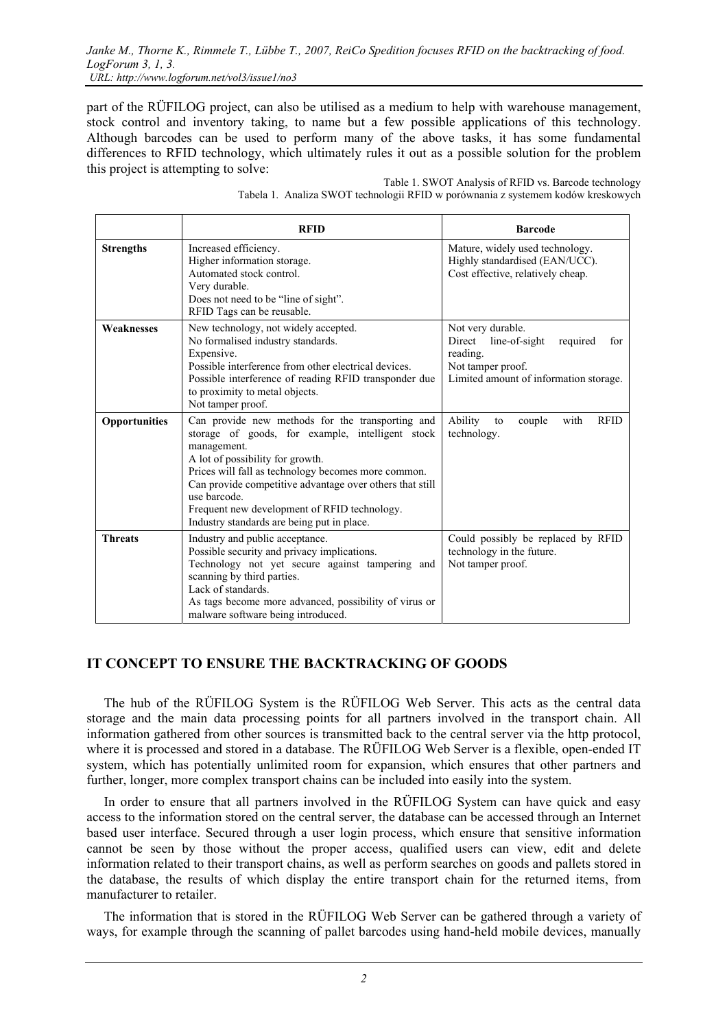part of the RÜFILOG project, can also be utilised as a medium to help with warehouse management, stock control and inventory taking, to name but a few possible applications of this technology. Although barcodes can be used to perform many of the above tasks, it has some fundamental differences to RFID technology, which ultimately rules it out as a possible solution for the problem this project is attempting to solve:

|                      | <b>RFID</b>                                                                                                                                                                                                                                                                                                                                                                              | <b>Barcode</b>                                                                                                                             |
|----------------------|------------------------------------------------------------------------------------------------------------------------------------------------------------------------------------------------------------------------------------------------------------------------------------------------------------------------------------------------------------------------------------------|--------------------------------------------------------------------------------------------------------------------------------------------|
| <b>Strengths</b>     | Increased efficiency.<br>Higher information storage.<br>Automated stock control.<br>Very durable.<br>Does not need to be "line of sight".<br>RFID Tags can be reusable.                                                                                                                                                                                                                  | Mature, widely used technology.<br>Highly standardised (EAN/UCC).<br>Cost effective, relatively cheap.                                     |
| Weaknesses           | New technology, not widely accepted.<br>No formalised industry standards.<br>Expensive.<br>Possible interference from other electrical devices.<br>Possible interference of reading RFID transponder due<br>to proximity to metal objects.<br>Not tamper proof.                                                                                                                          | Not very durable.<br>Direct<br>line-of-sight<br>required<br>for<br>reading.<br>Not tamper proof.<br>Limited amount of information storage. |
| <b>Opportunities</b> | Can provide new methods for the transporting and<br>storage of goods, for example, intelligent stock<br>management.<br>A lot of possibility for growth.<br>Prices will fall as technology becomes more common.<br>Can provide competitive advantage over others that still<br>use barcode.<br>Frequent new development of RFID technology.<br>Industry standards are being put in place. | Ability<br>couple<br>with<br><b>RFID</b><br>to<br>technology.                                                                              |
| <b>Threats</b>       | Industry and public acceptance.<br>Possible security and privacy implications.<br>Technology not yet secure against tampering and<br>scanning by third parties.<br>Lack of standards.<br>As tags become more advanced, possibility of virus or<br>malware software being introduced.                                                                                                     | Could possibly be replaced by RFID<br>technology in the future.<br>Not tamper proof.                                                       |

Table 1. SWOT Analysis of RFID vs. Barcode technology Tabela 1. Analiza SWOT technologii RFID w porównania z systemem kodów kreskowych

## **IT CONCEPT TO ENSURE THE BACKTRACKING OF GOODS**

The hub of the RÜFILOG System is the RÜFILOG Web Server. This acts as the central data storage and the main data processing points for all partners involved in the transport chain. All information gathered from other sources is transmitted back to the central server via the http protocol, where it is processed and stored in a database. The RÜFILOG Web Server is a flexible, open-ended IT system, which has potentially unlimited room for expansion, which ensures that other partners and further, longer, more complex transport chains can be included into easily into the system.

In order to ensure that all partners involved in the RÜFILOG System can have quick and easy access to the information stored on the central server, the database can be accessed through an Internet based user interface. Secured through a user login process, which ensure that sensitive information cannot be seen by those without the proper access, qualified users can view, edit and delete information related to their transport chains, as well as perform searches on goods and pallets stored in the database, the results of which display the entire transport chain for the returned items, from manufacturer to retailer.

The information that is stored in the RÜFILOG Web Server can be gathered through a variety of ways, for example through the scanning of pallet barcodes using hand-held mobile devices, manually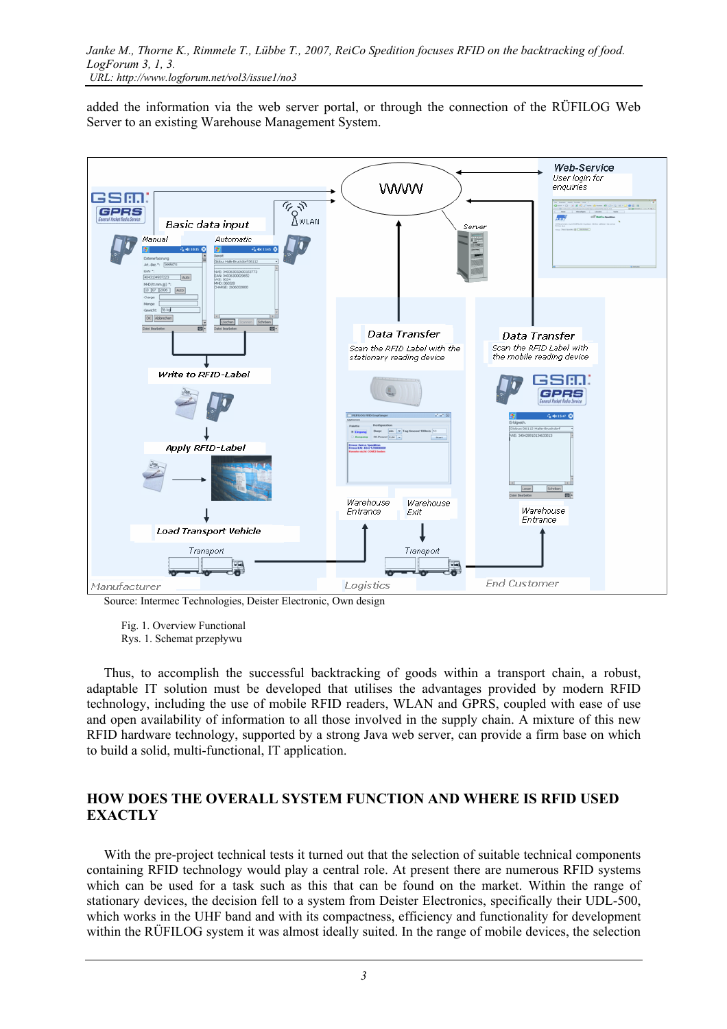added the information via the web server portal, or through the connection of the RÜFILOG Web Server to an existing Warehouse Management System.



Source: Intermec Technologies, Deister Electronic, Own design

 Fig. 1. Overview Functional Rys. 1. Schemat przepływu

Thus, to accomplish the successful backtracking of goods within a transport chain, a robust, adaptable IT solution must be developed that utilises the advantages provided by modern RFID technology, including the use of mobile RFID readers, WLAN and GPRS, coupled with ease of use and open availability of information to all those involved in the supply chain. A mixture of this new RFID hardware technology, supported by a strong Java web server, can provide a firm base on which to build a solid, multi-functional, IT application.

## **HOW DOES THE OVERALL SYSTEM FUNCTION AND WHERE IS RFID USED EXACTLY**

With the pre-project technical tests it turned out that the selection of suitable technical components containing RFID technology would play a central role. At present there are numerous RFID systems which can be used for a task such as this that can be found on the market. Within the range of stationary devices, the decision fell to a system from Deister Electronics, specifically their UDL-500, which works in the UHF band and with its compactness, efficiency and functionality for development within the RÜFILOG system it was almost ideally suited. In the range of mobile devices, the selection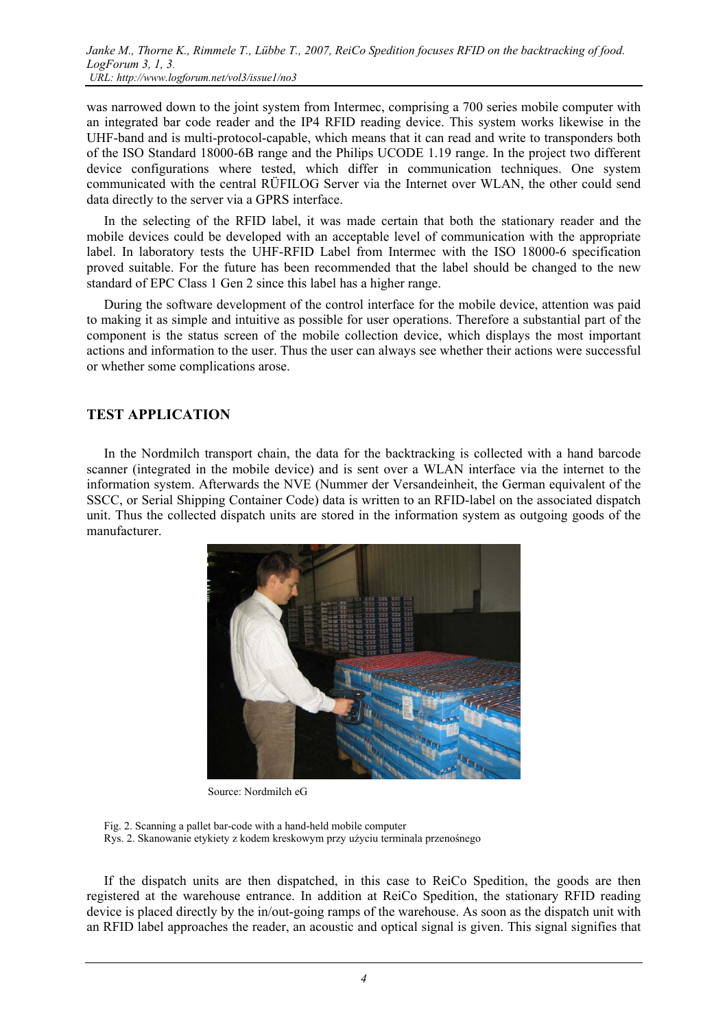*Janke M., Thorne K., Rimmele T., Lübbe T., 2007, ReiCo Spedition focuses RFID on the backtracking of food. LogForum 3, 1, 3. URL: http://www.logforum.net/vol3/issue1/no3* 

was narrowed down to the joint system from Intermec, comprising a 700 series mobile computer with an integrated bar code reader and the IP4 RFID reading device. This system works likewise in the UHF-band and is multi-protocol-capable, which means that it can read and write to transponders both of the ISO Standard 18000-6B range and the Philips UCODE 1.19 range. In the project two different device configurations where tested, which differ in communication techniques. One system communicated with the central RÜFILOG Server via the Internet over WLAN, the other could send data directly to the server via a GPRS interface.

In the selecting of the RFID label, it was made certain that both the stationary reader and the mobile devices could be developed with an acceptable level of communication with the appropriate label. In laboratory tests the UHF-RFID Label from Intermec with the ISO 18000-6 specification proved suitable. For the future has been recommended that the label should be changed to the new standard of EPC Class 1 Gen 2 since this label has a higher range.

During the software development of the control interface for the mobile device, attention was paid to making it as simple and intuitive as possible for user operations. Therefore a substantial part of the component is the status screen of the mobile collection device, which displays the most important actions and information to the user. Thus the user can always see whether their actions were successful or whether some complications arose.

#### **TEST APPLICATION**

In the Nordmilch transport chain, the data for the backtracking is collected with a hand barcode scanner (integrated in the mobile device) and is sent over a WLAN interface via the internet to the information system. Afterwards the NVE (Nummer der Versandeinheit, the German equivalent of the SSCC, or Serial Shipping Container Code) data is written to an RFID-label on the associated dispatch unit. Thus the collected dispatch units are stored in the information system as outgoing goods of the manufacturer.



Source: Nordmilch eG

Fig. 2. Scanning a pallet bar-code with a hand-held mobile computer Rys. 2. Skanowanie etykiety z kodem kreskowym przy użyciu terminala przenośnego

If the dispatch units are then dispatched, in this case to ReiCo Spedition, the goods are then registered at the warehouse entrance. In addition at ReiCo Spedition, the stationary RFID reading device is placed directly by the in/out-going ramps of the warehouse. As soon as the dispatch unit with an RFID label approaches the reader, an acoustic and optical signal is given. This signal signifies that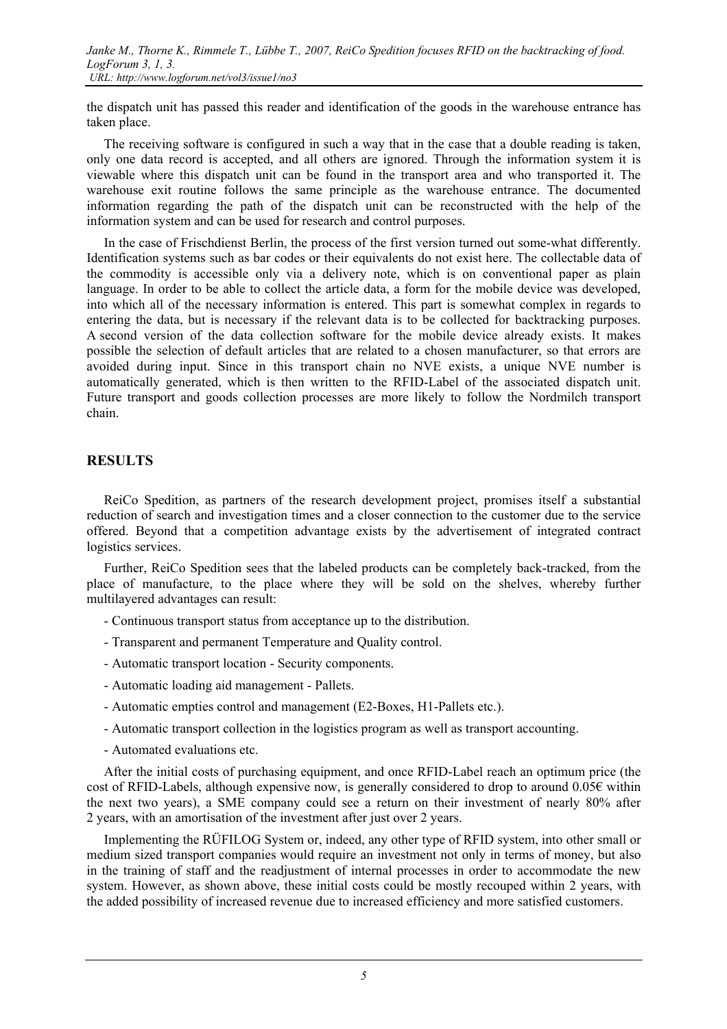*Janke M., Thorne K., Rimmele T., Lübbe T., 2007, ReiCo Spedition focuses RFID on the backtracking of food. LogForum 3, 1, 3. URL: http://www.logforum.net/vol3/issue1/no3* 

the dispatch unit has passed this reader and identification of the goods in the warehouse entrance has taken place.

The receiving software is configured in such a way that in the case that a double reading is taken, only one data record is accepted, and all others are ignored. Through the information system it is viewable where this dispatch unit can be found in the transport area and who transported it. The warehouse exit routine follows the same principle as the warehouse entrance. The documented information regarding the path of the dispatch unit can be reconstructed with the help of the information system and can be used for research and control purposes.

In the case of Frischdienst Berlin, the process of the first version turned out some-what differently. Identification systems such as bar codes or their equivalents do not exist here. The collectable data of the commodity is accessible only via a delivery note, which is on conventional paper as plain language. In order to be able to collect the article data, a form for the mobile device was developed, into which all of the necessary information is entered. This part is somewhat complex in regards to entering the data, but is necessary if the relevant data is to be collected for backtracking purposes. A second version of the data collection software for the mobile device already exists. It makes possible the selection of default articles that are related to a chosen manufacturer, so that errors are avoided during input. Since in this transport chain no NVE exists, a unique NVE number is automatically generated, which is then written to the RFID-Label of the associated dispatch unit. Future transport and goods collection processes are more likely to follow the Nordmilch transport chain.

#### **RESULTS**

ReiCo Spedition, as partners of the research development project, promises itself a substantial reduction of search and investigation times and a closer connection to the customer due to the service offered. Beyond that a competition advantage exists by the advertisement of integrated contract logistics services.

Further, ReiCo Spedition sees that the labeled products can be completely back-tracked, from the place of manufacture, to the place where they will be sold on the shelves, whereby further multilayered advantages can result:

- Continuous transport status from acceptance up to the distribution.
- Transparent and permanent Temperature and Quality control.
- Automatic transport location Security components.
- Automatic loading aid management Pallets.
- Automatic empties control and management (E2-Boxes, H1-Pallets etc.).
- Automatic transport collection in the logistics program as well as transport accounting.
- Automated evaluations etc.

After the initial costs of purchasing equipment, and once RFID-Label reach an optimum price (the cost of RFID-Labels, although expensive now, is generally considered to drop to around  $0.05\epsilon$  within the next two years), a SME company could see a return on their investment of nearly 80% after 2 years, with an amortisation of the investment after just over 2 years.

Implementing the RÜFILOG System or, indeed, any other type of RFID system, into other small or medium sized transport companies would require an investment not only in terms of money, but also in the training of staff and the readjustment of internal processes in order to accommodate the new system. However, as shown above, these initial costs could be mostly recouped within 2 years, with the added possibility of increased revenue due to increased efficiency and more satisfied customers.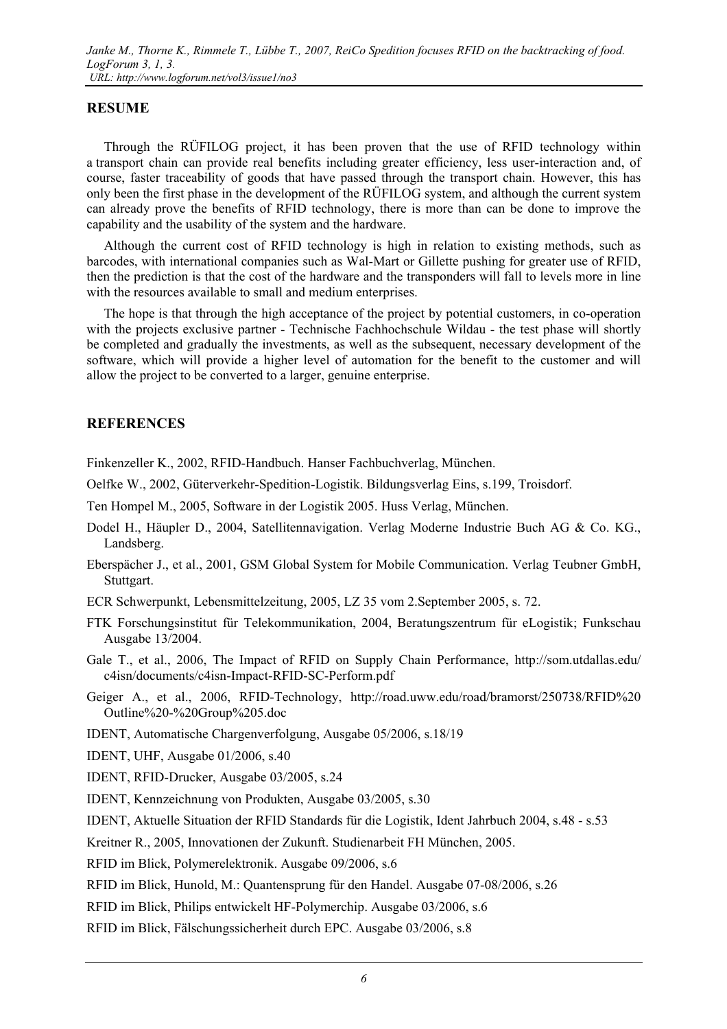### **RESUME**

Through the RÜFILOG project, it has been proven that the use of RFID technology within a transport chain can provide real benefits including greater efficiency, less user-interaction and, of course, faster traceability of goods that have passed through the transport chain. However, this has only been the first phase in the development of the RÜFILOG system, and although the current system can already prove the benefits of RFID technology, there is more than can be done to improve the capability and the usability of the system and the hardware.

Although the current cost of RFID technology is high in relation to existing methods, such as barcodes, with international companies such as Wal-Mart or Gillette pushing for greater use of RFID, then the prediction is that the cost of the hardware and the transponders will fall to levels more in line with the resources available to small and medium enterprises.

The hope is that through the high acceptance of the project by potential customers, in co-operation with the projects exclusive partner - Technische Fachhochschule Wildau - the test phase will shortly be completed and gradually the investments, as well as the subsequent, necessary development of the software, which will provide a higher level of automation for the benefit to the customer and will allow the project to be converted to a larger, genuine enterprise.

### **REFERENCES**

Finkenzeller K., 2002, RFID-Handbuch. Hanser Fachbuchverlag, München.

- Oelfke W., 2002, Güterverkehr-Spedition-Logistik. Bildungsverlag Eins, s.199, Troisdorf.
- Ten Hompel M., 2005, Software in der Logistik 2005. Huss Verlag, München.
- Dodel H., Häupler D., 2004, Satellitennavigation. Verlag Moderne Industrie Buch AG & Co. KG., Landsberg.
- Eberspächer J., et al., 2001, GSM Global System for Mobile Communication. Verlag Teubner GmbH, Stuttgart.
- ECR Schwerpunkt, Lebensmittelzeitung, 2005, LZ 35 vom 2.September 2005, s. 72.
- FTK Forschungsinstitut für Telekommunikation, 2004, Beratungszentrum für eLogistik; Funkschau Ausgabe 13/2004.
- Gale T., et al., 2006, The Impact of RFID on Supply Chain Performance, http://som.utdallas.edu/ c4isn/documents/c4isn-Impact-RFID-SC-Perform.pdf
- Geiger A., et al., 2006, RFID-Technology, http://road.uww.edu/road/bramorst/250738/RFID%20 Outline%20-%20Group%205.doc
- IDENT, Automatische Chargenverfolgung, Ausgabe 05/2006, s.18/19
- IDENT, UHF, Ausgabe 01/2006, s.40
- IDENT, RFID-Drucker, Ausgabe 03/2005, s.24
- IDENT, Kennzeichnung von Produkten, Ausgabe 03/2005, s.30

IDENT, Aktuelle Situation der RFID Standards für die Logistik, Ident Jahrbuch 2004, s.48 - s.53

Kreitner R., 2005, Innovationen der Zukunft. Studienarbeit FH München, 2005.

RFID im Blick, Polymerelektronik. Ausgabe 09/2006, s.6

RFID im Blick, Hunold, M.: Quantensprung für den Handel. Ausgabe 07-08/2006, s.26

RFID im Blick, Philips entwickelt HF-Polymerchip. Ausgabe 03/2006, s.6

RFID im Blick, Fälschungssicherheit durch EPC. Ausgabe 03/2006, s.8